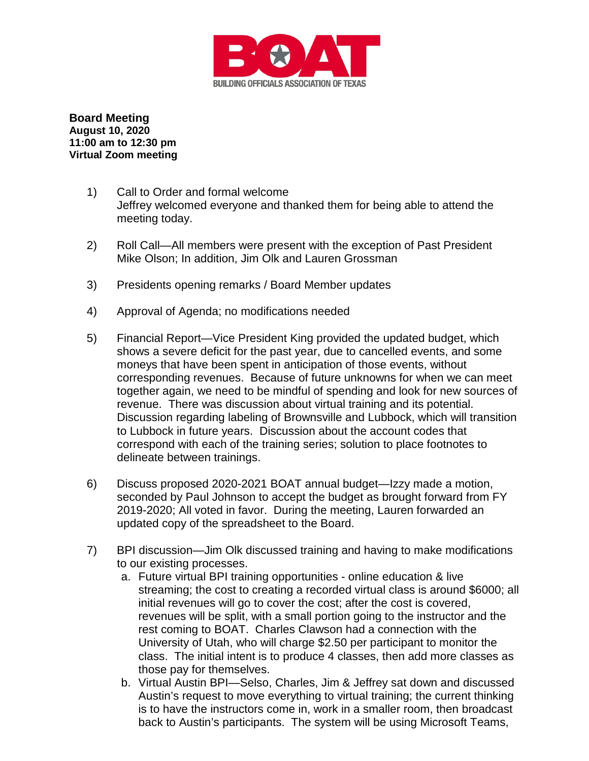

**Board Meeting August 10, 2020 11:00 am to 12:30 pm Virtual Zoom meeting**

- 1) Call to Order and formal welcome Jeffrey welcomed everyone and thanked them for being able to attend the meeting today.
- 2) Roll Call—All members were present with the exception of Past President Mike Olson; In addition, Jim Olk and Lauren Grossman
- 3) Presidents opening remarks / Board Member updates
- 4) Approval of Agenda; no modifications needed
- 5) Financial Report—Vice President King provided the updated budget, which shows a severe deficit for the past year, due to cancelled events, and some moneys that have been spent in anticipation of those events, without corresponding revenues. Because of future unknowns for when we can meet together again, we need to be mindful of spending and look for new sources of revenue. There was discussion about virtual training and its potential. Discussion regarding labeling of Brownsville and Lubbock, which will transition to Lubbock in future years. Discussion about the account codes that correspond with each of the training series; solution to place footnotes to delineate between trainings.
- 6) Discuss proposed 2020-2021 BOAT annual budget—Izzy made a motion, seconded by Paul Johnson to accept the budget as brought forward from FY 2019-2020; All voted in favor. During the meeting, Lauren forwarded an updated copy of the spreadsheet to the Board.
- 7) BPI discussion—Jim Olk discussed training and having to make modifications to our existing processes.
	- a. Future virtual BPI training opportunities online education & live streaming; the cost to creating a recorded virtual class is around \$6000; all initial revenues will go to cover the cost; after the cost is covered, revenues will be split, with a small portion going to the instructor and the rest coming to BOAT. Charles Clawson had a connection with the University of Utah, who will charge \$2.50 per participant to monitor the class. The initial intent is to produce 4 classes, then add more classes as those pay for themselves.
	- b. Virtual Austin BPI—Selso, Charles, Jim & Jeffrey sat down and discussed Austin's request to move everything to virtual training; the current thinking is to have the instructors come in, work in a smaller room, then broadcast back to Austin's participants. The system will be using Microsoft Teams,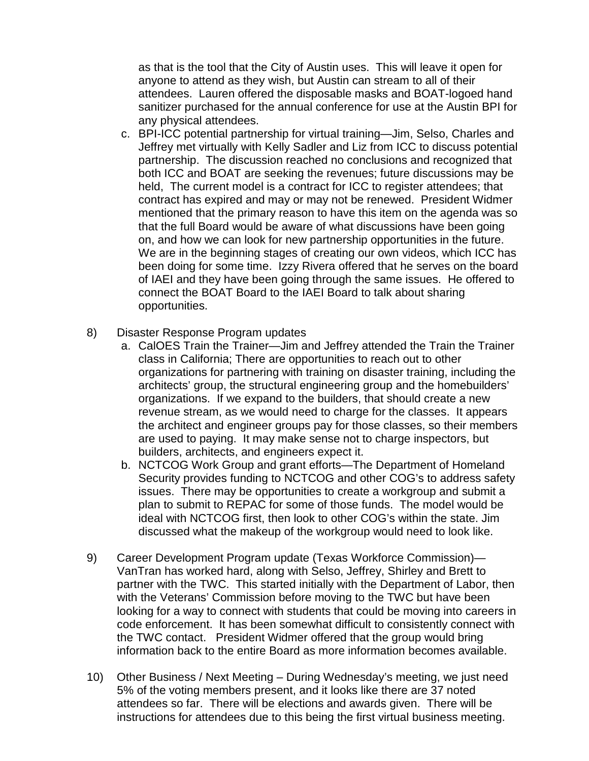as that is the tool that the City of Austin uses. This will leave it open for anyone to attend as they wish, but Austin can stream to all of their attendees. Lauren offered the disposable masks and BOAT-logoed hand sanitizer purchased for the annual conference for use at the Austin BPI for any physical attendees.

- c. BPI-ICC potential partnership for virtual training—Jim, Selso, Charles and Jeffrey met virtually with Kelly Sadler and Liz from ICC to discuss potential partnership. The discussion reached no conclusions and recognized that both ICC and BOAT are seeking the revenues; future discussions may be held, The current model is a contract for ICC to register attendees; that contract has expired and may or may not be renewed. President Widmer mentioned that the primary reason to have this item on the agenda was so that the full Board would be aware of what discussions have been going on, and how we can look for new partnership opportunities in the future. We are in the beginning stages of creating our own videos, which ICC has been doing for some time. Izzy Rivera offered that he serves on the board of IAEI and they have been going through the same issues. He offered to connect the BOAT Board to the IAEI Board to talk about sharing opportunities.
- 8) Disaster Response Program updates
	- a. CalOES Train the Trainer—Jim and Jeffrey attended the Train the Trainer class in California; There are opportunities to reach out to other organizations for partnering with training on disaster training, including the architects' group, the structural engineering group and the homebuilders' organizations. If we expand to the builders, that should create a new revenue stream, as we would need to charge for the classes. It appears the architect and engineer groups pay for those classes, so their members are used to paying. It may make sense not to charge inspectors, but builders, architects, and engineers expect it.
	- b. NCTCOG Work Group and grant efforts—The Department of Homeland Security provides funding to NCTCOG and other COG's to address safety issues. There may be opportunities to create a workgroup and submit a plan to submit to REPAC for some of those funds. The model would be ideal with NCTCOG first, then look to other COG's within the state. Jim discussed what the makeup of the workgroup would need to look like.
- 9) Career Development Program update (Texas Workforce Commission)— VanTran has worked hard, along with Selso, Jeffrey, Shirley and Brett to partner with the TWC. This started initially with the Department of Labor, then with the Veterans' Commission before moving to the TWC but have been looking for a way to connect with students that could be moving into careers in code enforcement. It has been somewhat difficult to consistently connect with the TWC contact. President Widmer offered that the group would bring information back to the entire Board as more information becomes available.
- 10) Other Business / Next Meeting During Wednesday's meeting, we just need 5% of the voting members present, and it looks like there are 37 noted attendees so far. There will be elections and awards given. There will be instructions for attendees due to this being the first virtual business meeting.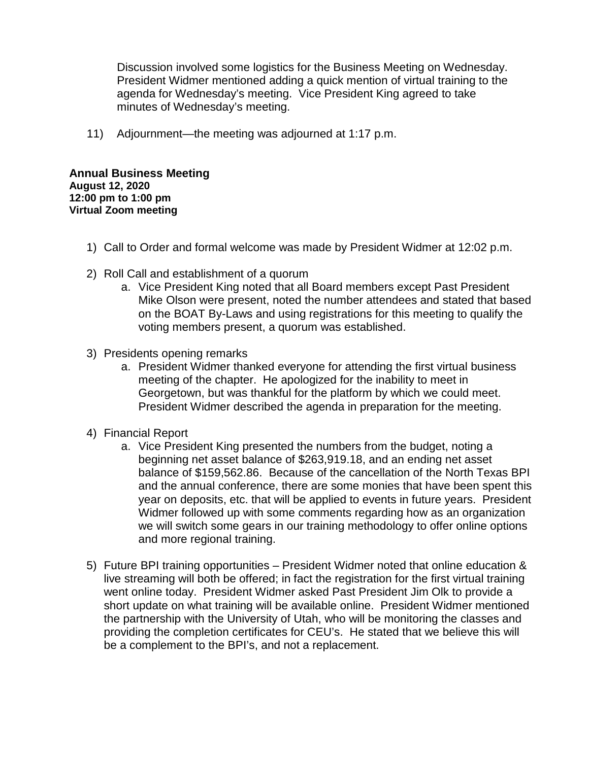Discussion involved some logistics for the Business Meeting on Wednesday. President Widmer mentioned adding a quick mention of virtual training to the agenda for Wednesday's meeting. Vice President King agreed to take minutes of Wednesday's meeting.

11) Adjournment—the meeting was adjourned at 1:17 p.m.

**Annual Business Meeting August 12, 2020 12:00 pm to 1:00 pm Virtual Zoom meeting**

- 1) Call to Order and formal welcome was made by President Widmer at 12:02 p.m.
- 2) Roll Call and establishment of a quorum
	- a. Vice President King noted that all Board members except Past President Mike Olson were present, noted the number attendees and stated that based on the BOAT By-Laws and using registrations for this meeting to qualify the voting members present, a quorum was established.
- 3) Presidents opening remarks
	- a. President Widmer thanked everyone for attending the first virtual business meeting of the chapter. He apologized for the inability to meet in Georgetown, but was thankful for the platform by which we could meet. President Widmer described the agenda in preparation for the meeting.
- 4) Financial Report
	- a. Vice President King presented the numbers from the budget, noting a beginning net asset balance of \$263,919.18, and an ending net asset balance of \$159,562.86. Because of the cancellation of the North Texas BPI and the annual conference, there are some monies that have been spent this year on deposits, etc. that will be applied to events in future years. President Widmer followed up with some comments regarding how as an organization we will switch some gears in our training methodology to offer online options and more regional training.
- 5) Future BPI training opportunities President Widmer noted that online education & live streaming will both be offered; in fact the registration for the first virtual training went online today. President Widmer asked Past President Jim Olk to provide a short update on what training will be available online. President Widmer mentioned the partnership with the University of Utah, who will be monitoring the classes and providing the completion certificates for CEU's. He stated that we believe this will be a complement to the BPI's, and not a replacement.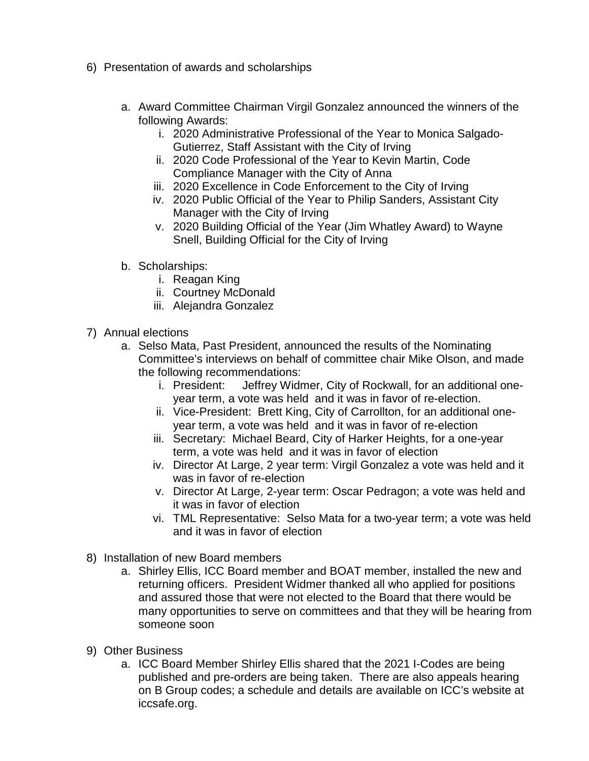- 6) Presentation of awards and scholarships
	- a. Award Committee Chairman Virgil Gonzalez announced the winners of the following Awards:
		- i. 2020 Administrative Professional of the Year to Monica Salgado-Gutierrez, Staff Assistant with the City of Irving
		- ii. 2020 Code Professional of the Year to Kevin Martin, Code Compliance Manager with the City of Anna
		- iii. 2020 Excellence in Code Enforcement to the City of Irving
		- iv. 2020 Public Official of the Year to Philip Sanders, Assistant City Manager with the City of Irving
		- v. 2020 Building Official of the Year (Jim Whatley Award) to Wayne Snell, Building Official for the City of Irving
	- b. Scholarships:
		- i. Reagan King
		- ii. Courtney McDonald
		- iii. Alejandra Gonzalez
- 7) Annual elections
	- a. Selso Mata, Past President, announced the results of the Nominating Committee's interviews on behalf of committee chair Mike Olson, and made the following recommendations:
		- i. President: Jeffrey Widmer, City of Rockwall, for an additional oneyear term, a vote was held and it was in favor of re-election.
		- ii. Vice-President: Brett King, City of Carrollton, for an additional oneyear term, a vote was held and it was in favor of re-election
		- iii. Secretary: Michael Beard, City of Harker Heights, for a one-year term, a vote was held and it was in favor of election
		- iv. Director At Large, 2 year term: Virgil Gonzalez a vote was held and it was in favor of re-election
		- v. Director At Large, 2-year term: Oscar Pedragon; a vote was held and it was in favor of election
		- vi. TML Representative: Selso Mata for a two-year term; a vote was held and it was in favor of election
- 8) Installation of new Board members
	- a. Shirley Ellis, ICC Board member and BOAT member, installed the new and returning officers. President Widmer thanked all who applied for positions and assured those that were not elected to the Board that there would be many opportunities to serve on committees and that they will be hearing from someone soon
- 9) Other Business
	- a. ICC Board Member Shirley Ellis shared that the 2021 I-Codes are being published and pre-orders are being taken. There are also appeals hearing on B Group codes; a schedule and details are available on ICC's website at iccsafe.org.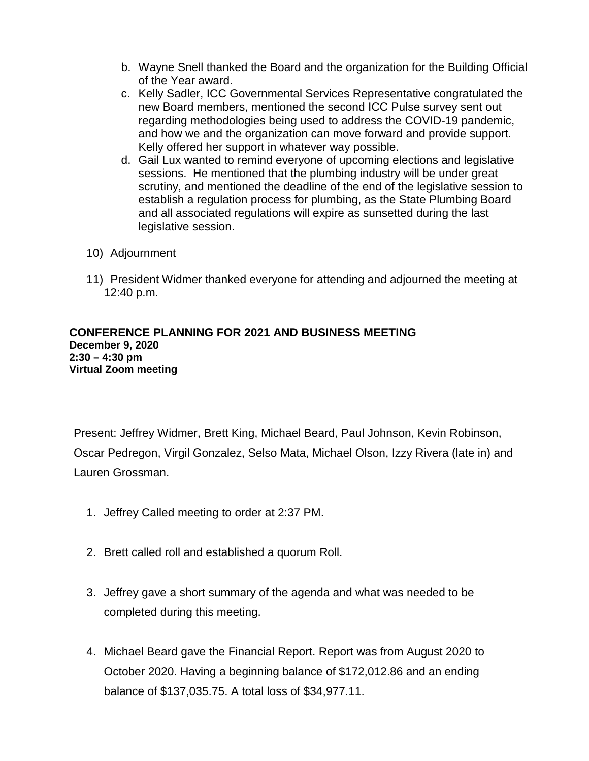- b. Wayne Snell thanked the Board and the organization for the Building Official of the Year award.
- c. Kelly Sadler, ICC Governmental Services Representative congratulated the new Board members, mentioned the second ICC Pulse survey sent out regarding methodologies being used to address the COVID-19 pandemic, and how we and the organization can move forward and provide support. Kelly offered her support in whatever way possible.
- d. Gail Lux wanted to remind everyone of upcoming elections and legislative sessions. He mentioned that the plumbing industry will be under great scrutiny, and mentioned the deadline of the end of the legislative session to establish a regulation process for plumbing, as the State Plumbing Board and all associated regulations will expire as sunsetted during the last legislative session.
- 10) Adjournment
- 11) President Widmer thanked everyone for attending and adjourned the meeting at 12:40 p.m.

## **CONFERENCE PLANNING FOR 2021 AND BUSINESS MEETING December 9, 2020 2:30 – 4:30 pm Virtual Zoom meeting**

Present: Jeffrey Widmer, Brett King, Michael Beard, Paul Johnson, Kevin Robinson, Oscar Pedregon, Virgil Gonzalez, Selso Mata, Michael Olson, Izzy Rivera (late in) and Lauren Grossman.

- 1. Jeffrey Called meeting to order at 2:37 PM.
- 2. Brett called roll and established a quorum Roll.
- 3. Jeffrey gave a short summary of the agenda and what was needed to be completed during this meeting.
- 4. Michael Beard gave the Financial Report. Report was from August 2020 to October 2020. Having a beginning balance of \$172,012.86 and an ending balance of \$137,035.75. A total loss of \$34,977.11.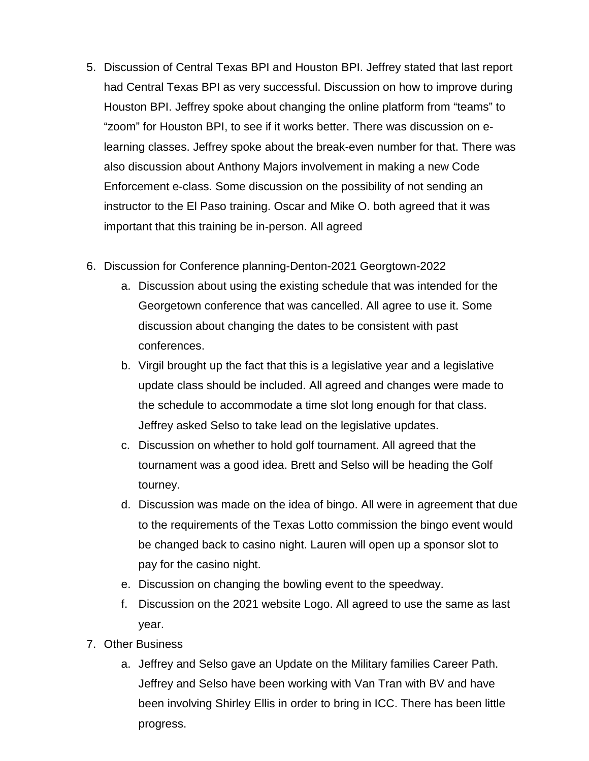- 5. Discussion of Central Texas BPI and Houston BPI. Jeffrey stated that last report had Central Texas BPI as very successful. Discussion on how to improve during Houston BPI. Jeffrey spoke about changing the online platform from "teams" to "zoom" for Houston BPI, to see if it works better. There was discussion on elearning classes. Jeffrey spoke about the break-even number for that. There was also discussion about Anthony Majors involvement in making a new Code Enforcement e-class. Some discussion on the possibility of not sending an instructor to the El Paso training. Oscar and Mike O. both agreed that it was important that this training be in-person. All agreed
- 6. Discussion for Conference planning-Denton-2021 Georgtown-2022
	- a. Discussion about using the existing schedule that was intended for the Georgetown conference that was cancelled. All agree to use it. Some discussion about changing the dates to be consistent with past conferences.
	- b. Virgil brought up the fact that this is a legislative year and a legislative update class should be included. All agreed and changes were made to the schedule to accommodate a time slot long enough for that class. Jeffrey asked Selso to take lead on the legislative updates.
	- c. Discussion on whether to hold golf tournament. All agreed that the tournament was a good idea. Brett and Selso will be heading the Golf tourney.
	- d. Discussion was made on the idea of bingo. All were in agreement that due to the requirements of the Texas Lotto commission the bingo event would be changed back to casino night. Lauren will open up a sponsor slot to pay for the casino night.
	- e. Discussion on changing the bowling event to the speedway.
	- f. Discussion on the 2021 website Logo. All agreed to use the same as last year.
- 7. Other Business
	- a. Jeffrey and Selso gave an Update on the Military families Career Path. Jeffrey and Selso have been working with Van Tran with BV and have been involving Shirley Ellis in order to bring in ICC. There has been little progress.